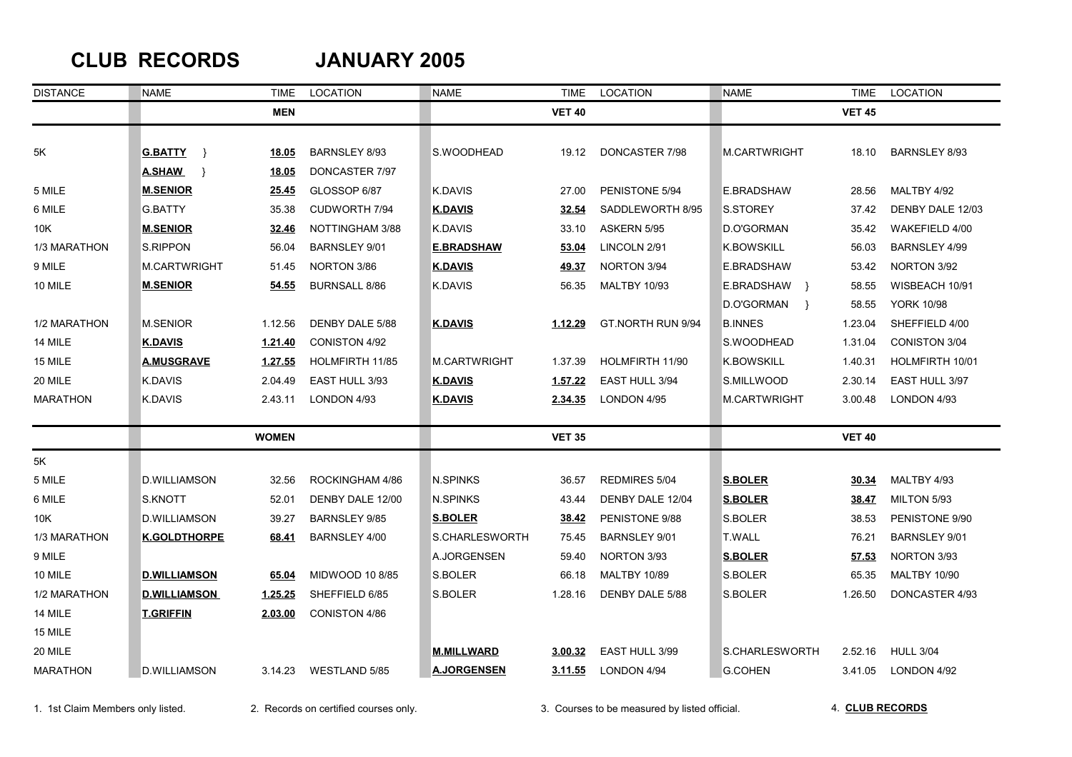## **CLUB RECORDS JANUARY 2005**

| <b>DISTANCE</b> | <b>NAME</b>           | <b>TIME</b>  | <b>LOCATION</b>      | <b>NAME</b>         | <b>TIME</b>   | <b>LOCATION</b>     | <b>NAME</b>                 | <b>TIME</b>   | LOCATION             |
|-----------------|-----------------------|--------------|----------------------|---------------------|---------------|---------------------|-----------------------------|---------------|----------------------|
|                 |                       | <b>MEN</b>   |                      |                     | <b>VET 40</b> |                     |                             | <b>VET 45</b> |                      |
|                 |                       |              |                      |                     |               |                     |                             |               |                      |
| 5K              | <b>G.BATTY</b><br>- 1 | 18.05        | <b>BARNSLEY 8/93</b> | S.WOODHEAD          | 19.12         | DONCASTER 7/98      | M.CARTWRIGHT                | 18.10         | <b>BARNSLEY 8/93</b> |
|                 | <b>A.SHAW</b><br>- }  | 18.05        | DONCASTER 7/97       |                     |               |                     |                             |               |                      |
| 5 MILE          | <b>M.SENIOR</b>       | 25.45        | GLOSSOP 6/87         | K.DAVIS             | 27.00         | PENISTONE 5/94      | E.BRADSHAW                  | 28.56         | MALTBY 4/92          |
| 6 MILE          | <b>G.BATTY</b>        | 35.38        | CUDWORTH 7/94        | <b>K.DAVIS</b>      | 32.54         | SADDLEWORTH 8/95    | S.STOREY                    | 37.42         | DENBY DALE 12/03     |
| 10K             | <b>M.SENIOR</b>       | 32.46        | NOTTINGHAM 3/88      | K.DAVIS             | 33.10         | ASKERN 5/95         | D.O'GORMAN                  | 35.42         | WAKEFIELD 4/00       |
| 1/3 MARATHON    | S.RIPPON              | 56.04        | <b>BARNSLEY 9/01</b> | <b>E.BRADSHAW</b>   | 53.04         | LINCOLN 2/91        | <b>K.BOWSKILL</b>           | 56.03         | BARNSLEY 4/99        |
| 9 MILE          | M.CARTWRIGHT          | 51.45        | NORTON 3/86          | <u>K.DAVIS</u>      | <u>49.37</u>  | NORTON 3/94         | E.BRADSHAW                  | 53.42         | NORTON 3/92          |
| 10 MILE         | <u>M.SENIOR</u>       | 54.55        | <b>BURNSALL 8/86</b> | K.DAVIS             | 56.35         | <b>MALTBY 10/93</b> | E.BRADSHAW }                | 58.55         | WISBEACH 10/91       |
|                 |                       |              |                      |                     |               |                     | D.O'GORMAN<br>$\rightarrow$ | 58.55         | <b>YORK 10/98</b>    |
| 1/2 MARATHON    | <b>M.SENIOR</b>       | 1.12.56      | DENBY DALE 5/88      | <b>K.DAVIS</b>      | 1.12.29       | GT.NORTH RUN 9/94   | <b>B.INNES</b>              | 1.23.04       | SHEFFIELD 4/00       |
| 14 MILE         | K.DAVIS               | 1.21.40      | CONISTON 4/92        |                     |               |                     | S.WOODHEAD                  | 1.31.04       | CONISTON 3/04        |
| 15 MILE         | <b>A.MUSGRAVE</b>     | 1.27.55      | HOLMFIRTH 11/85      | <b>M.CARTWRIGHT</b> | 1.37.39       | HOLMFIRTH 11/90     | <b>K.BOWSKILL</b>           | 1.40.31       | HOLMFIRTH 10/01      |
| 20 MILE         | K.DAVIS               | 2.04.49      | EAST HULL 3/93       | <b>K.DAVIS</b>      | 1.57.22       | EAST HULL 3/94      | S.MILLWOOD                  | 2.30.14       | EAST HULL 3/97       |
| <b>MARATHON</b> | <b>K.DAVIS</b>        | 2.43.11      | LONDON 4/93          | <b>K.DAVIS</b>      | 2.34.35       | LONDON 4/95         | M.CARTWRIGHT                | 3.00.48       | LONDON 4/93          |
|                 |                       | <b>WOMEN</b> |                      |                     | <b>VET 35</b> |                     |                             | <b>VET 40</b> |                      |
| 5K              |                       |              |                      |                     |               |                     |                             |               |                      |
| 5 MILE          | D.WILLIAMSON          | 32.56        | ROCKINGHAM 4/86      | <b>N.SPINKS</b>     | 36.57         | REDMIRES 5/04       | <b>S.BOLER</b>              | 30.34         | MALTBY 4/93          |
| 6 MILE          | S.KNOTT               | 52.01        | DENBY DALE 12/00     | <b>N.SPINKS</b>     | 43.44         | DENBY DALE 12/04    | <b>S.BOLER</b>              | 38.47         | MILTON 5/93          |
| 10K             | D.WILLIAMSON          | 39.27        | <b>BARNSLEY 9/85</b> | <b>S.BOLER</b>      | 38.42         | PENISTONE 9/88      | S.BOLER                     | 38.53         | PENISTONE 9/90       |
| 1/3 MARATHON    | K.GOLDTHORPE          | 68.41        | BARNSLEY 4/00        | S.CHARLESWORTH      | 75.45         | BARNSLEY 9/01       | <b>T.WALL</b>               | 76.21         | BARNSLEY 9/01        |
| 9 MILE          |                       |              |                      | A.JORGENSEN         | 59.40         | NORTON 3/93         | <b>S.BOLER</b>              | 57.53         | NORTON 3/93          |
| 10 MILE         | <u>D.WILLIAMSON</u>   | 65.04        | MIDWOOD 10 8/85      | S.BOLER             | 66.18         | <b>MALTBY 10/89</b> | S.BOLER                     | 65.35         | <b>MALTBY 10/90</b>  |
| 1/2 MARATHON    | <u>D.WILLIAMSON</u>   | 1.25.25      | SHEFFIELD 6/85       | S.BOLER             | 1.28.16       | DENBY DALE 5/88     | S.BOLER                     | 1.26.50       | DONCASTER 4/93       |
| 14 MILE         | <b>T.GRIFFIN</b>      | 2.03.00      | CONISTON 4/86        |                     |               |                     |                             |               |                      |
| 15 MILE         |                       |              |                      |                     |               |                     |                             |               |                      |
| 20 MILE         |                       |              |                      | <b>M.MILLWARD</b>   | 3.00.32       | EAST HULL 3/99      | S.CHARLESWORTH              | 2.52.16       | <b>HULL 3/04</b>     |
| <b>MARATHON</b> | D.WILLIAMSON          | 3.14.23      | <b>WESTLAND 5/85</b> | <b>A.JORGENSEN</b>  | 3.11.55       | LONDON 4/94         | <b>G.COHEN</b>              | 3.41.05       | LONDON 4/92          |

1. 1st Claim Members only listed. 2. Records on certified courses only. 3. Courses to be measured by listed official.

4. **CLUB RECORDS**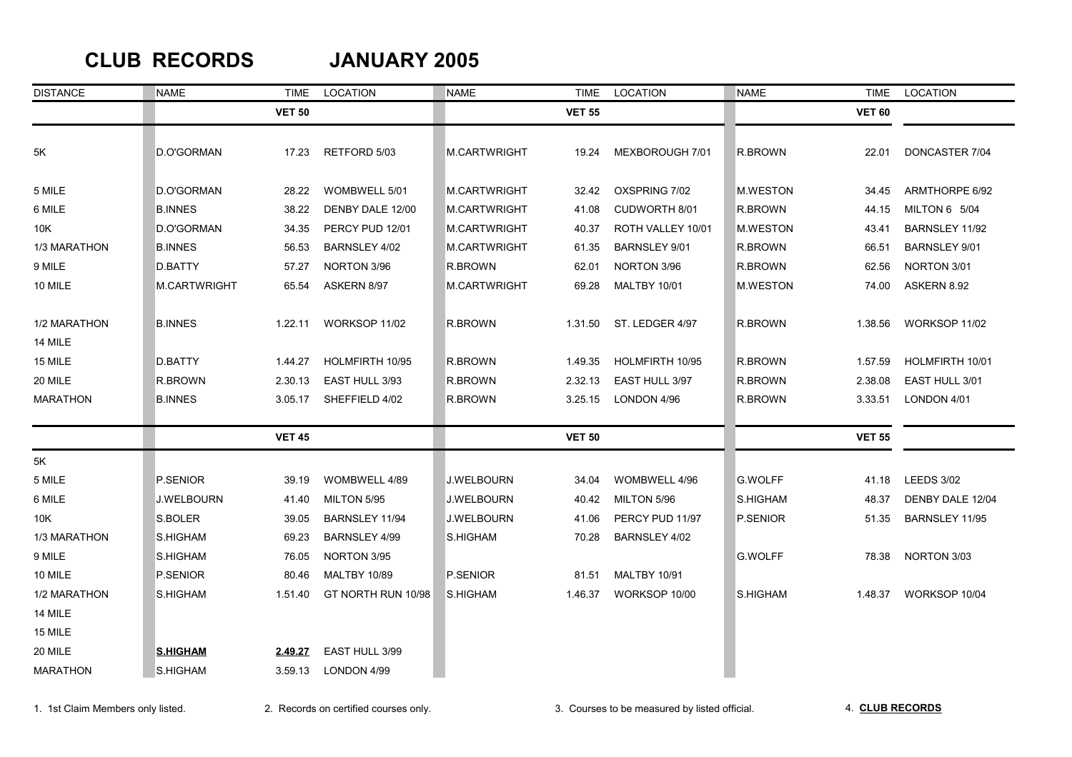### **CLUB RECORDS JANUARY 2005**

| <b>DISTANCE</b> | <b>NAME</b>     | TIME          | LOCATION            | <b>NAME</b>         | <b>TIME</b>   | LOCATION             | <b>NAME</b>     | TIME          | LOCATION          |
|-----------------|-----------------|---------------|---------------------|---------------------|---------------|----------------------|-----------------|---------------|-------------------|
|                 |                 | <b>VET 50</b> |                     |                     | <b>VET 55</b> |                      |                 | <b>VET 60</b> |                   |
| 5K              | D.O'GORMAN      | 17.23         | RETFORD 5/03        | <b>M.CARTWRIGHT</b> | 19.24         | MEXBOROUGH 7/01      | R.BROWN         | 22.01         | DONCASTER 7/04    |
| 5 MILE          | D.O'GORMAN      | 28.22         | WOMBWELL 5/01       | <b>M.CARTWRIGHT</b> | 32.42         | OXSPRING 7/02        | <b>M.WESTON</b> | 34.45         | ARMTHORPE 6/92    |
| 6 MILE          | <b>B.INNES</b>  | 38.22         | DENBY DALE 12/00    | <b>M.CARTWRIGHT</b> | 41.08         | CUDWORTH 8/01        | R.BROWN         | 44.15         | MILTON 6 5/04     |
| 10K             | D.O'GORMAN      | 34.35         | PERCY PUD 12/01     | <b>M.CARTWRIGHT</b> | 40.37         | ROTH VALLEY 10/01    | <b>M.WESTON</b> | 43.41         | BARNSLEY 11/92    |
| 1/3 MARATHON    | <b>B.INNES</b>  | 56.53         | BARNSLEY 4/02       | M.CARTWRIGHT        | 61.35         | <b>BARNSLEY 9/01</b> | R.BROWN         | 66.51         | BARNSLEY 9/01     |
| 9 MILE          | D.BATTY         | 57.27         | NORTON 3/96         | R.BROWN             | 62.01         | NORTON 3/96          | R.BROWN         | 62.56         | NORTON 3/01       |
| 10 MILE         | M.CARTWRIGHT    | 65.54         | ASKERN 8/97         | M.CARTWRIGHT        | 69.28         | <b>MALTBY 10/01</b>  | <b>M.WESTON</b> | 74.00         | ASKERN 8.92       |
| 1/2 MARATHON    | <b>B.INNES</b>  | 1.22.11       | WORKSOP 11/02       | R.BROWN             | 1.31.50       | ST. LEDGER 4/97      | R.BROWN         | 1.38.56       | WORKSOP 11/02     |
| 14 MILE         |                 |               |                     |                     |               |                      |                 |               |                   |
| 15 MILE         | D.BATTY         | 1.44.27       | HOLMFIRTH 10/95     | R.BROWN             | 1.49.35       | HOLMFIRTH 10/95      | R.BROWN         | 1.57.59       | HOLMFIRTH 10/01   |
| 20 MILE         | R.BROWN         | 2.30.13       | EAST HULL 3/93      | R.BROWN             | 2.32.13       | EAST HULL 3/97       | R.BROWN         | 2.38.08       | EAST HULL 3/01    |
| <b>MARATHON</b> | <b>B.INNES</b>  | 3.05.17       | SHEFFIELD 4/02      | R.BROWN             | 3.25.15       | LONDON 4/96          | R.BROWN         | 3.33.51       | LONDON 4/01       |
|                 |                 | <b>VET 45</b> |                     |                     | <b>VET 50</b> |                      |                 | <b>VET 55</b> |                   |
| 5K              |                 |               |                     |                     |               |                      |                 |               |                   |
| 5 MILE          | P.SENIOR        | 39.19         | WOMBWELL 4/89       | J.WELBOURN          | 34.04         | WOMBWELL 4/96        | <b>G.WOLFF</b>  | 41.18         | <b>LEEDS 3/02</b> |
| 6 MILE          | J.WELBOURN      | 41.40         | MILTON 5/95         | J.WELBOURN          | 40.42         | MILTON 5/96          | S.HIGHAM        | 48.37         | DENBY DALE 12/04  |
| 10K             | S.BOLER         | 39.05         | BARNSLEY 11/94      | <b>J.WELBOURN</b>   | 41.06         | PERCY PUD 11/97      | P.SENIOR        | 51.35         | BARNSLEY 11/95    |
| 1/3 MARATHON    | S.HIGHAM        | 69.23         | BARNSLEY 4/99       | S.HIGHAM            | 70.28         | BARNSLEY 4/02        |                 |               |                   |
| 9 MILE          | S.HIGHAM        | 76.05         | NORTON 3/95         |                     |               |                      | <b>G.WOLFF</b>  | 78.38         | NORTON 3/03       |
| 10 MILE         | P.SENIOR        | 80.46         | <b>MALTBY 10/89</b> | P.SENIOR            | 81.51         | <b>MALTBY 10/91</b>  |                 |               |                   |
| 1/2 MARATHON    | S.HIGHAM        | 1.51.40       | GT NORTH RUN 10/98  | S.HIGHAM            | 1.46.37       | WORKSOP 10/00        | S.HIGHAM        | 1.48.37       | WORKSOP 10/04     |
| 14 MILE         |                 |               |                     |                     |               |                      |                 |               |                   |
| 15 MILE         |                 |               |                     |                     |               |                      |                 |               |                   |
| 20 MILE         | <b>S.HIGHAM</b> | 2.49.27       | EAST HULL 3/99      |                     |               |                      |                 |               |                   |
| <b>MARATHON</b> | S.HIGHAM        | 3.59.13       | LONDON 4/99         |                     |               |                      |                 |               |                   |